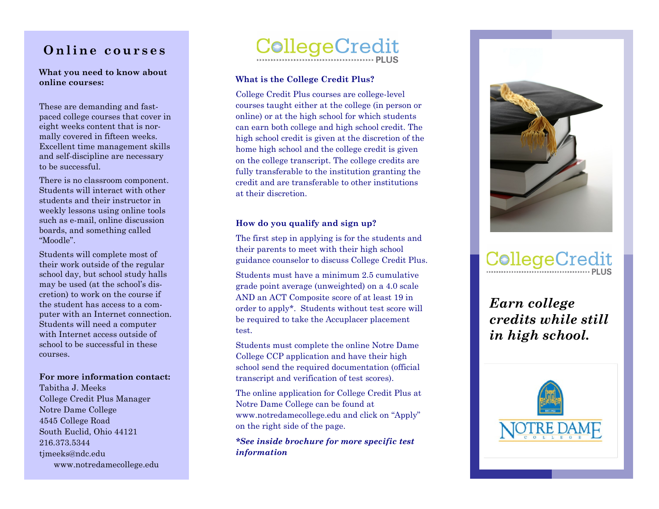# **Online courses**

**What you need to know about online courses:**

These are demanding and fast paced college courses that cover in eight weeks content that is normally covered in fifteen weeks. Excellent time management skills and self -discipline are necessary to be successful.

There is no classroom component. Students will interact with other students and their instructor in weekly lessons using online tools such as e -mail, online discussion boards, and something called "Moodle".

Students will complete most of their work outside of the regular school day, but school study halls may be used (at the school's discretion) to work on the course if the student has access to a computer with an Internet connection. Students will need a computer with Internet access outside of school to be successful in these courses.

**For more information contact:**

Tabitha J. Meeks College Credit Plus Manager Notre Dame College 4545 College Road South Euclid, Ohio 44121 216.373.5344 timeeks@ndc.edu www.notredamecollege.edu



## **What is the College Credit Plus?**

College Credit Plus courses are college -level courses taught either at the college (in person or online) or at the high school for which students can earn both college and high school credit. The high school credit is given at the discretion of the home high school and the college credit is given on the college transcript. The college credits are fully transferable to the institution granting the credit and are transferable to other institutions at their discretion.

# **How do you qualify and sign up?**

The first step in applying is for the students and their parents to meet with their high school guidance counselor to discuss College Credit Plus.

Students must have a minimum 2.5 cumulative grade point average (unweighted) on a 4.0 scale AND an ACT Composite score of at least 19 in order to apply\*. Students without test score will be required to take the Accuplacer placement test.

Students must complete the online Notre Dame College CCP application and have their high school send the required documentation (official transcript and verification of test scores).

The online application for College Credit Plus at Notre Dame College can be found at www.notredamecollege.edu and click on "Apply" on the right side of the page.

*\*See inside brochure for more specific test information*



# CollegeCredit

*Earn college credits while still in high school.*